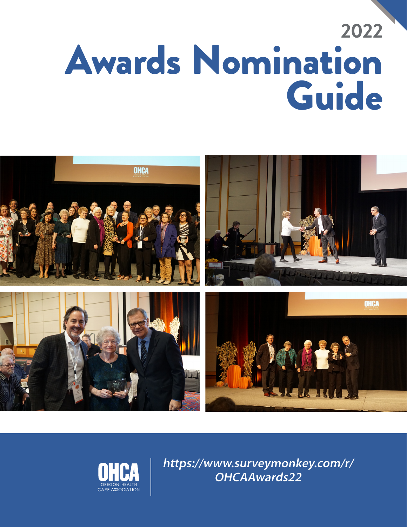# **2022** Awards Nomination Guide





**https://www.surveymonkey.com/r/ OHCAAwards22**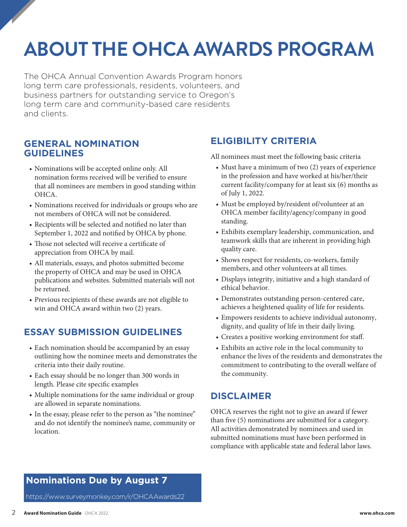# **ABOUT THE OHCA AWARDS PROGRAM**

The OHCA Annual Convention Awards Program honors long term care professionals, residents, volunteers, and business partners for outstanding service to Oregon's long term care and community-based care residents and clients.

#### **GENERAL NOMINATION GUIDELINES**

- Nominations will be accepted online only. All nomination forms received will be verified to ensure that all nominees are members in good standing within OHCA.
- Nominations received for individuals or groups who are not members of OHCA will not be considered.
- Recipients will be selected and notified no later than September 1, 2022 and notified by OHCA by phone.
- Those not selected will receive a certificate of appreciation from OHCA by mail.
- All materials, essays, and photos submitted become the property of OHCA and may be used in OHCA publications and websites. Submitted materials will not be returned.
- Previous recipients of these awards are not eligible to win and OHCA award within two (2) years.

# **ESSAY SUBMISSION GUIDELINES**

- Each nomination should be accompanied by an essay outlining how the nominee meets and demonstrates the criteria into their daily routine.
- Each essay should be no longer than 300 words in length. Please cite specific examples
- Multiple nominations for the same individual or group are allowed in separate nominations.
- In the essay, please refer to the person as "the nominee" and do not identify the nominee's name, community or location.

### **ELIGIBILITY CRITERIA**

All nominees must meet the following basic criteria

- Must have a minimum of two (2) years of experience in the profession and have worked at his/her/their current facility/company for at least six (6) months as of July 1, 2022.
- Must be employed by/resident of/volunteer at an OHCA member facility/agency/company in good standing.
- Exhibits exemplary leadership, communication, and teamwork skills that are inherent in providing high quality care.
- Shows respect for residents, co-workers, family members, and other volunteers at all times.
- Displays integrity, initiative and a high standard of ethical behavior.
- Demonstrates outstanding person-centered care, achieves a heightened quality of life for residents.
- Empowers residents to achieve individual autonomy, dignity, and quality of life in their daily living.
- Creates a positive working environment for staff.
- Exhibits an active role in the local community to enhance the lives of the residents and demonstrates the commitment to contributing to the overall welfare of the community.

#### **DISCLAIMER**

OHCA reserves the right not to give an award if fewer than five (5) nominations are submitted for a category. All activities demonstrated by nominees and used in submitted nominations must have been performed in compliance with applicable state and federal labor laws.

# **Nominations Due by August 7**

https://www.surveymonkey.com/r/OHCAAwards22